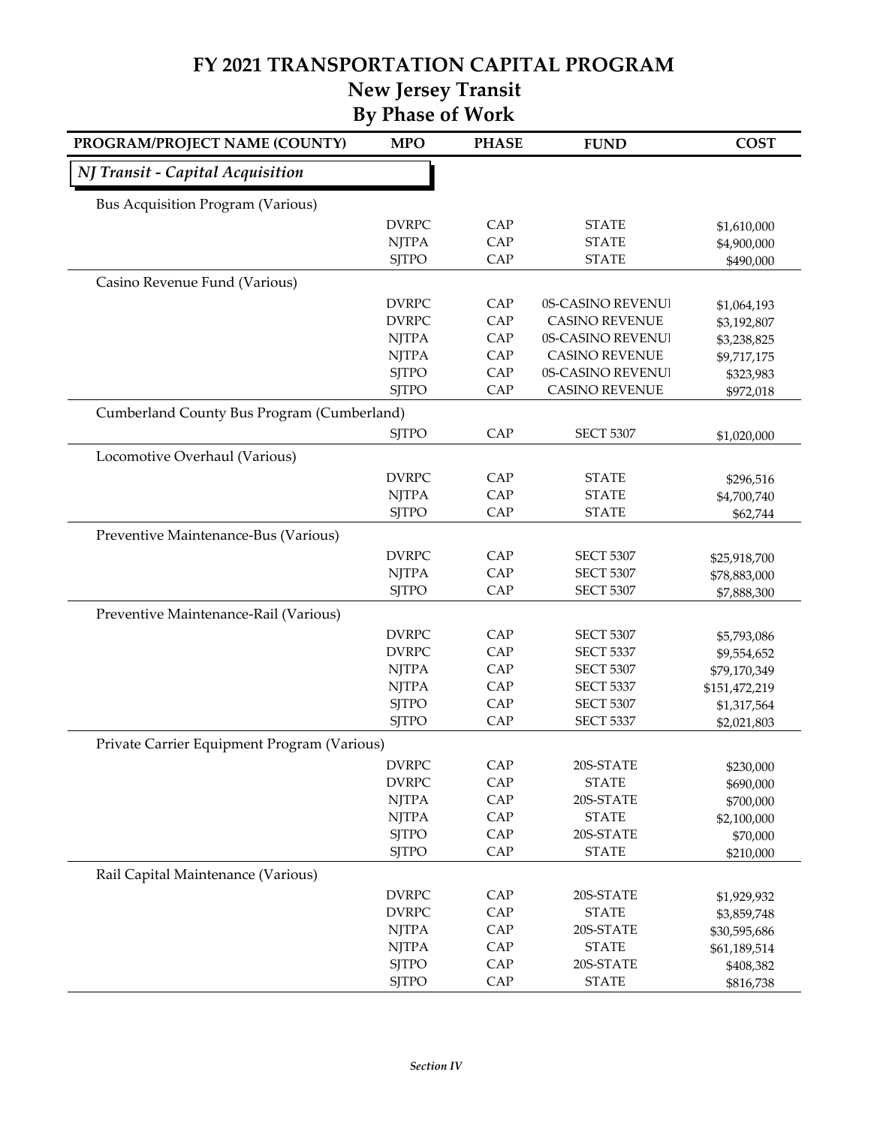#### **FY 2021 TRANSPORTATION CAPITAL PROGRAM New Jersey Transit**

|  |  | глсту јегзеу ттанзи     |
|--|--|-------------------------|
|  |  | <b>By Phase of Work</b> |

| PROGRAM/PROJECT NAME (COUNTY)               | <b>MPO</b>   | <b>PHASE</b> | <b>FUND</b>           | <b>COST</b>   |
|---------------------------------------------|--------------|--------------|-----------------------|---------------|
| NJ Transit - Capital Acquisition            |              |              |                       |               |
| <b>Bus Acquisition Program (Various)</b>    |              |              |                       |               |
|                                             | <b>DVRPC</b> | CAP          | <b>STATE</b>          | \$1,610,000   |
|                                             | <b>NJTPA</b> | CAP          | <b>STATE</b>          | \$4,900,000   |
|                                             | <b>SJTPO</b> | CAP          | <b>STATE</b>          | \$490,000     |
| Casino Revenue Fund (Various)               |              |              |                       |               |
|                                             | <b>DVRPC</b> | CAP          | 0S-CASINO REVENUI     | \$1,064,193   |
|                                             | <b>DVRPC</b> | CAP          | <b>CASINO REVENUE</b> | \$3,192,807   |
|                                             | <b>NJTPA</b> | CAP          | 0S-CASINO REVENUI     | \$3,238,825   |
|                                             | <b>NJTPA</b> | CAP          | <b>CASINO REVENUE</b> | \$9,717,175   |
|                                             | <b>SJTPO</b> | CAP          | 0S-CASINO REVENUI     | \$323,983     |
|                                             | <b>SJTPO</b> | CAP          | <b>CASINO REVENUE</b> | \$972,018     |
| Cumberland County Bus Program (Cumberland)  |              |              |                       |               |
|                                             | <b>SJTPO</b> | CAP          | <b>SECT 5307</b>      | \$1,020,000   |
| Locomotive Overhaul (Various)               |              |              |                       |               |
|                                             | <b>DVRPC</b> | CAP          | <b>STATE</b>          | \$296,516     |
|                                             | <b>NJTPA</b> | CAP          | <b>STATE</b>          | \$4,700,740   |
|                                             | <b>SJTPO</b> | CAP          | <b>STATE</b>          | \$62,744      |
| Preventive Maintenance-Bus (Various)        |              |              |                       |               |
|                                             | <b>DVRPC</b> | CAP          | <b>SECT 5307</b>      | \$25,918,700  |
|                                             | <b>NJTPA</b> | CAP          | <b>SECT 5307</b>      | \$78,883,000  |
|                                             | <b>SJTPO</b> | CAP          | <b>SECT 5307</b>      | \$7,888,300   |
| Preventive Maintenance-Rail (Various)       |              |              |                       |               |
|                                             | <b>DVRPC</b> | CAP          | <b>SECT 5307</b>      | \$5,793,086   |
|                                             | <b>DVRPC</b> | CAP          | <b>SECT 5337</b>      | \$9,554,652   |
|                                             | <b>NJTPA</b> | CAP          | <b>SECT 5307</b>      | \$79,170,349  |
|                                             | <b>NJTPA</b> | CAP          | <b>SECT 5337</b>      | \$151,472,219 |
|                                             | <b>SJTPO</b> | CAP          | <b>SECT 5307</b>      | \$1,317,564   |
|                                             | <b>SJTPO</b> | CAP          | <b>SECT 5337</b>      | \$2,021,803   |
| Private Carrier Equipment Program (Various) |              |              |                       |               |
|                                             | <b>DVRPC</b> | CAP          | 20S-STATE             | \$230,000     |
|                                             | <b>DVRPC</b> | CAP          | <b>STATE</b>          | \$690,000     |
|                                             | <b>NJTPA</b> | CAP          | 20S-STATE             | \$700,000     |
|                                             | <b>NJTPA</b> | CAP          | <b>STATE</b>          | \$2,100,000   |
|                                             | <b>SJTPO</b> | CAP          | 20S-STATE             | \$70,000      |
|                                             | <b>SJTPO</b> | CAP          | <b>STATE</b>          | \$210,000     |
| Rail Capital Maintenance (Various)          |              |              |                       |               |
|                                             | <b>DVRPC</b> | CAP          | 20S-STATE             | \$1,929,932   |
|                                             | <b>DVRPC</b> | CAP          | <b>STATE</b>          | \$3,859,748   |
|                                             | <b>NJTPA</b> | CAP          | 20S-STATE             | \$30,595,686  |
|                                             | <b>NJTPA</b> | CAP          | <b>STATE</b>          | \$61,189,514  |
|                                             | <b>SJTPO</b> | CAP          | 20S-STATE             | \$408,382     |
|                                             | <b>SJTPO</b> | CAP          | <b>STATE</b>          | \$816,738     |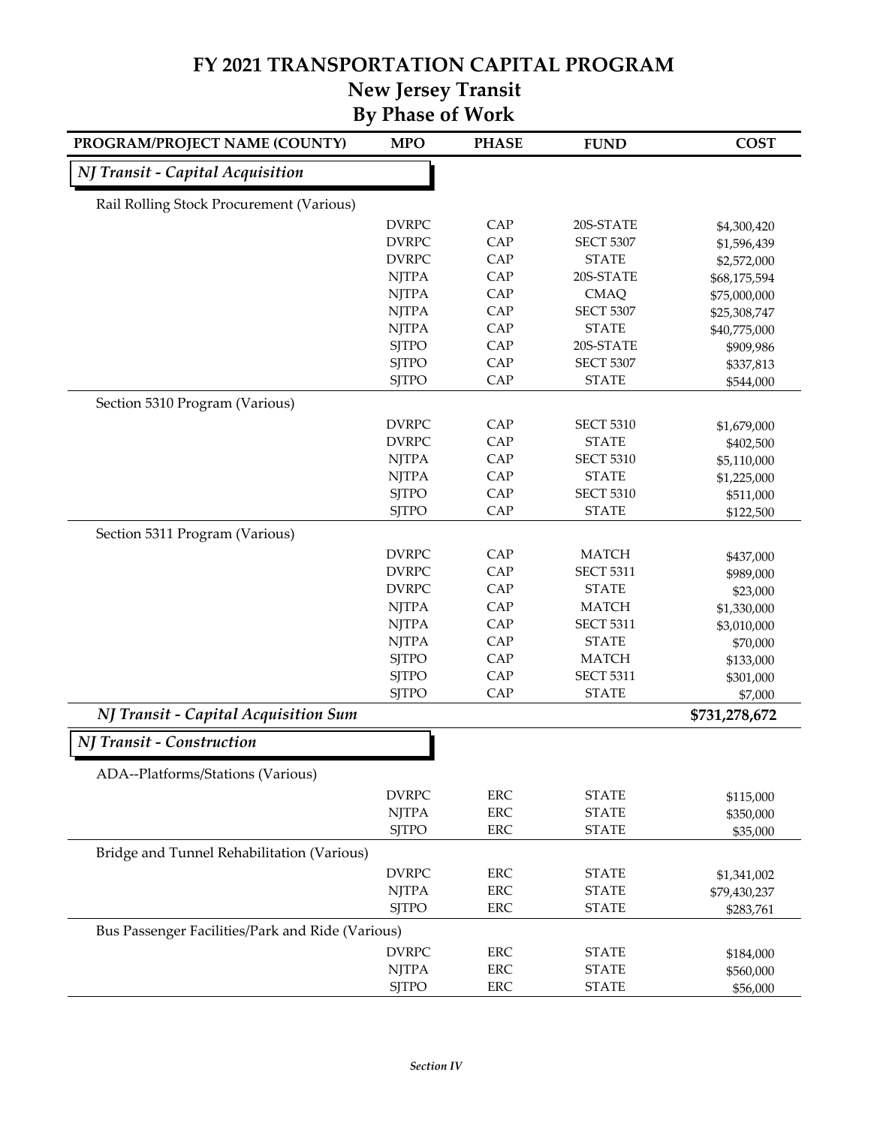#### **FY 2021 TRANSPORTATION CAPITAL PROGRAM**

# **New Jersey Transit**

| PROGRAM/PROJECT NAME (COUNTY)                    | <b>MPO</b>   | <b>PHASE</b> | <b>FUND</b>      | <b>COST</b>   |
|--------------------------------------------------|--------------|--------------|------------------|---------------|
| NJ Transit - Capital Acquisition                 |              |              |                  |               |
| Rail Rolling Stock Procurement (Various)         |              |              |                  |               |
|                                                  | <b>DVRPC</b> | CAP          | 20S-STATE        | \$4,300,420   |
|                                                  | <b>DVRPC</b> | CAP          | <b>SECT 5307</b> | \$1,596,439   |
|                                                  | <b>DVRPC</b> | CAP          | <b>STATE</b>     | \$2,572,000   |
|                                                  | <b>NJTPA</b> | CAP          | 20S-STATE        | \$68,175,594  |
|                                                  | <b>NJTPA</b> | CAP          | <b>CMAQ</b>      | \$75,000,000  |
|                                                  | <b>NJTPA</b> | CAP          | <b>SECT 5307</b> | \$25,308,747  |
|                                                  | <b>NJTPA</b> | CAP          | <b>STATE</b>     | \$40,775,000  |
|                                                  | <b>SJTPO</b> | CAP          | 20S-STATE        | \$909,986     |
|                                                  | <b>SJTPO</b> | CAP          | <b>SECT 5307</b> | \$337,813     |
|                                                  | <b>SJTPO</b> | CAP          | <b>STATE</b>     | \$544,000     |
| Section 5310 Program (Various)                   |              |              |                  |               |
|                                                  | <b>DVRPC</b> | CAP          | <b>SECT 5310</b> | \$1,679,000   |
|                                                  | <b>DVRPC</b> | CAP          | <b>STATE</b>     | \$402,500     |
|                                                  | <b>NJTPA</b> | CAP          | <b>SECT 5310</b> | \$5,110,000   |
|                                                  | <b>NJTPA</b> | CAP          | <b>STATE</b>     | \$1,225,000   |
|                                                  | <b>SJTPO</b> | CAP          | <b>SECT 5310</b> | \$511,000     |
|                                                  | <b>SJTPO</b> | CAP          | <b>STATE</b>     | \$122,500     |
| Section 5311 Program (Various)                   |              |              |                  |               |
|                                                  | <b>DVRPC</b> | CAP          | <b>MATCH</b>     | \$437,000     |
|                                                  | <b>DVRPC</b> | CAP          | <b>SECT 5311</b> | \$989,000     |
|                                                  | <b>DVRPC</b> | CAP          | <b>STATE</b>     | \$23,000      |
|                                                  | <b>NJTPA</b> | CAP          | <b>MATCH</b>     | \$1,330,000   |
|                                                  | <b>NJTPA</b> | CAP          | <b>SECT 5311</b> | \$3,010,000   |
|                                                  | <b>NJTPA</b> | CAP          | <b>STATE</b>     | \$70,000      |
|                                                  | <b>SJTPO</b> | CAP          | <b>MATCH</b>     | \$133,000     |
|                                                  | <b>SJTPO</b> | CAP          | <b>SECT 5311</b> | \$301,000     |
|                                                  | <b>SJTPO</b> | CAP          | <b>STATE</b>     | \$7,000       |
| NJ Transit - Capital Acquisition Sum             |              |              |                  | \$731,278,672 |
| NJ Transit - Construction                        |              |              |                  |               |
| ADA--Platforms/Stations (Various)                |              |              |                  |               |
|                                                  | <b>DVRPC</b> | <b>ERC</b>   | <b>STATE</b>     | \$115,000     |
|                                                  | <b>NJTPA</b> | ERC          | <b>STATE</b>     | \$350,000     |
|                                                  | <b>SJTPO</b> | ERC          | <b>STATE</b>     | \$35,000      |
| Bridge and Tunnel Rehabilitation (Various)       |              |              |                  |               |
|                                                  | <b>DVRPC</b> | <b>ERC</b>   | <b>STATE</b>     | \$1,341,002   |
|                                                  | <b>NJTPA</b> | <b>ERC</b>   | <b>STATE</b>     | \$79,430,237  |
|                                                  | <b>SJTPO</b> | <b>ERC</b>   | <b>STATE</b>     | \$283,761     |
| Bus Passenger Facilities/Park and Ride (Various) |              |              |                  |               |
|                                                  | <b>DVRPC</b> | ERC          | <b>STATE</b>     | \$184,000     |
|                                                  | <b>NJTPA</b> | <b>ERC</b>   | <b>STATE</b>     | \$560,000     |
|                                                  | <b>SJTPO</b> | ERC          | <b>STATE</b>     | \$56,000      |
|                                                  |              |              |                  |               |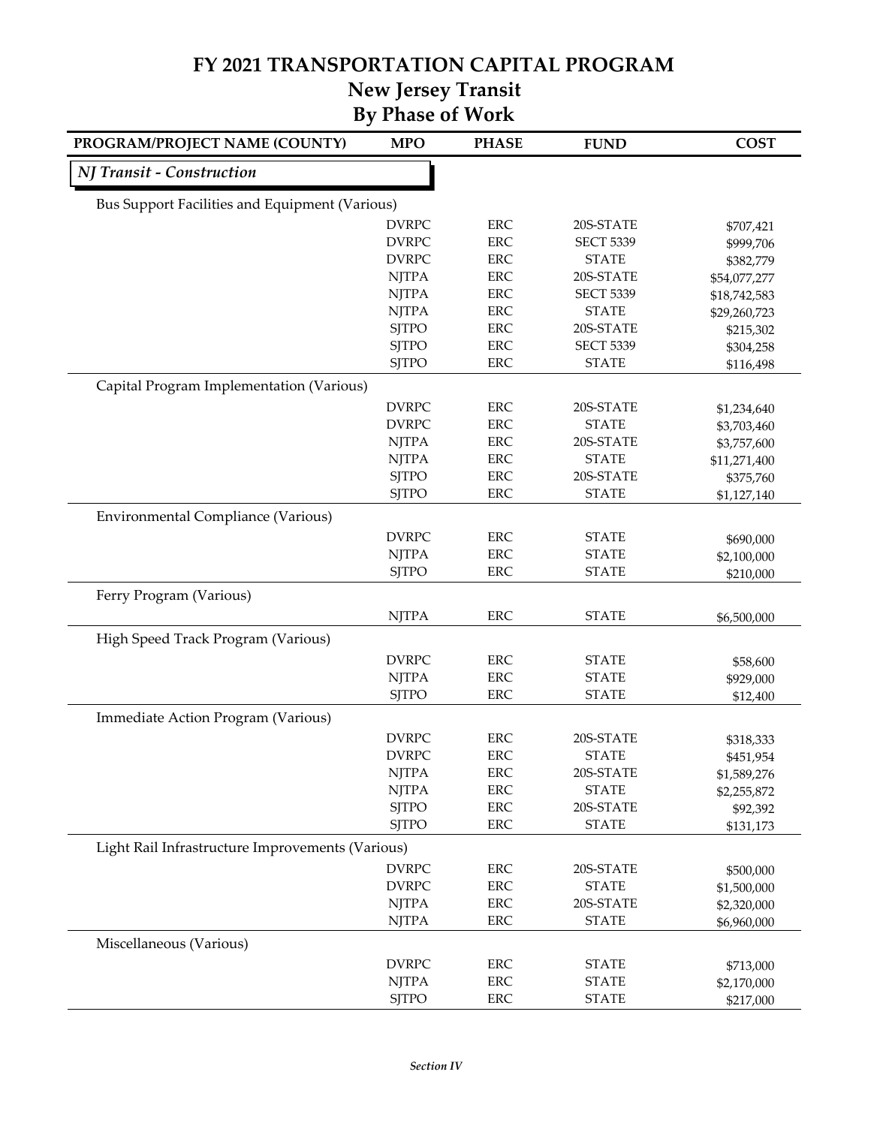# **FY 2021 TRANSPORTATION CAPITAL PROGRAM**

# **New Jersey Transit**

| PROGRAM/PROJECT NAME (COUNTY)                    | <b>MPO</b>   | <b>PHASE</b> | <b>FUND</b>      | <b>COST</b>  |
|--------------------------------------------------|--------------|--------------|------------------|--------------|
| NJ Transit - Construction                        |              |              |                  |              |
| Bus Support Facilities and Equipment (Various)   |              |              |                  |              |
|                                                  | <b>DVRPC</b> | <b>ERC</b>   | 20S-STATE        | \$707,421    |
|                                                  | <b>DVRPC</b> | <b>ERC</b>   | <b>SECT 5339</b> | \$999,706    |
|                                                  | <b>DVRPC</b> | <b>ERC</b>   | <b>STATE</b>     | \$382,779    |
|                                                  | <b>NJTPA</b> | <b>ERC</b>   | 20S-STATE        | \$54,077,277 |
|                                                  | <b>NJTPA</b> | <b>ERC</b>   | <b>SECT 5339</b> | \$18,742,583 |
|                                                  | <b>NJTPA</b> | <b>ERC</b>   | <b>STATE</b>     | \$29,260,723 |
|                                                  | <b>SITPO</b> | ERC          | 20S-STATE        | \$215,302    |
|                                                  | <b>SJTPO</b> | <b>ERC</b>   | <b>SECT 5339</b> | \$304,258    |
|                                                  | <b>SJTPO</b> | <b>ERC</b>   | <b>STATE</b>     | \$116,498    |
| Capital Program Implementation (Various)         |              |              |                  |              |
|                                                  | <b>DVRPC</b> | <b>ERC</b>   | 20S-STATE        | \$1,234,640  |
|                                                  | <b>DVRPC</b> | <b>ERC</b>   | <b>STATE</b>     | \$3,703,460  |
|                                                  | <b>NJTPA</b> | <b>ERC</b>   | 20S-STATE        | \$3,757,600  |
|                                                  | <b>NJTPA</b> | <b>ERC</b>   | <b>STATE</b>     | \$11,271,400 |
|                                                  | <b>SJTPO</b> | <b>ERC</b>   | 20S-STATE        | \$375,760    |
|                                                  | <b>SJTPO</b> | <b>ERC</b>   | <b>STATE</b>     | \$1,127,140  |
| <b>Environmental Compliance (Various)</b>        |              |              |                  |              |
|                                                  | <b>DVRPC</b> | <b>ERC</b>   | <b>STATE</b>     | \$690,000    |
|                                                  | <b>NJTPA</b> | <b>ERC</b>   | <b>STATE</b>     | \$2,100,000  |
|                                                  | <b>SJTPO</b> | <b>ERC</b>   | <b>STATE</b>     | \$210,000    |
| Ferry Program (Various)                          |              |              |                  |              |
|                                                  | <b>NJTPA</b> | <b>ERC</b>   | <b>STATE</b>     | \$6,500,000  |
| High Speed Track Program (Various)               |              |              |                  |              |
|                                                  | <b>DVRPC</b> | ERC          | <b>STATE</b>     | \$58,600     |
|                                                  | <b>NJTPA</b> | <b>ERC</b>   | <b>STATE</b>     | \$929,000    |
|                                                  | <b>SJTPO</b> | <b>ERC</b>   | <b>STATE</b>     | \$12,400     |
| Immediate Action Program (Various)               |              |              |                  |              |
|                                                  | <b>DVRPC</b> | <b>ERC</b>   | 20S-STATE        | \$318,333    |
|                                                  | <b>DVRPC</b> | <b>ERC</b>   | <b>STATE</b>     | \$451,954    |
|                                                  | <b>NJTPA</b> | <b>ERC</b>   | 20S-STATE        | \$1,589,276  |
|                                                  | <b>NJTPA</b> | <b>ERC</b>   | <b>STATE</b>     | \$2,255,872  |
|                                                  | <b>SJTPO</b> | ERC          | 20S-STATE        | \$92,392     |
|                                                  | <b>SJTPO</b> | <b>ERC</b>   | <b>STATE</b>     | \$131,173    |
| Light Rail Infrastructure Improvements (Various) |              |              |                  |              |
|                                                  | <b>DVRPC</b> | <b>ERC</b>   | 20S-STATE        | \$500,000    |
|                                                  | <b>DVRPC</b> | <b>ERC</b>   | <b>STATE</b>     | \$1,500,000  |
|                                                  | <b>NJTPA</b> | <b>ERC</b>   | 20S-STATE        | \$2,320,000  |
|                                                  | <b>NJTPA</b> | <b>ERC</b>   | <b>STATE</b>     | \$6,960,000  |
| Miscellaneous (Various)                          |              |              |                  |              |
|                                                  | <b>DVRPC</b> | <b>ERC</b>   | <b>STATE</b>     | \$713,000    |
|                                                  | <b>NJTPA</b> | ERC          | <b>STATE</b>     | \$2,170,000  |
|                                                  | <b>SJTPO</b> | ERC          | <b>STATE</b>     | \$217,000    |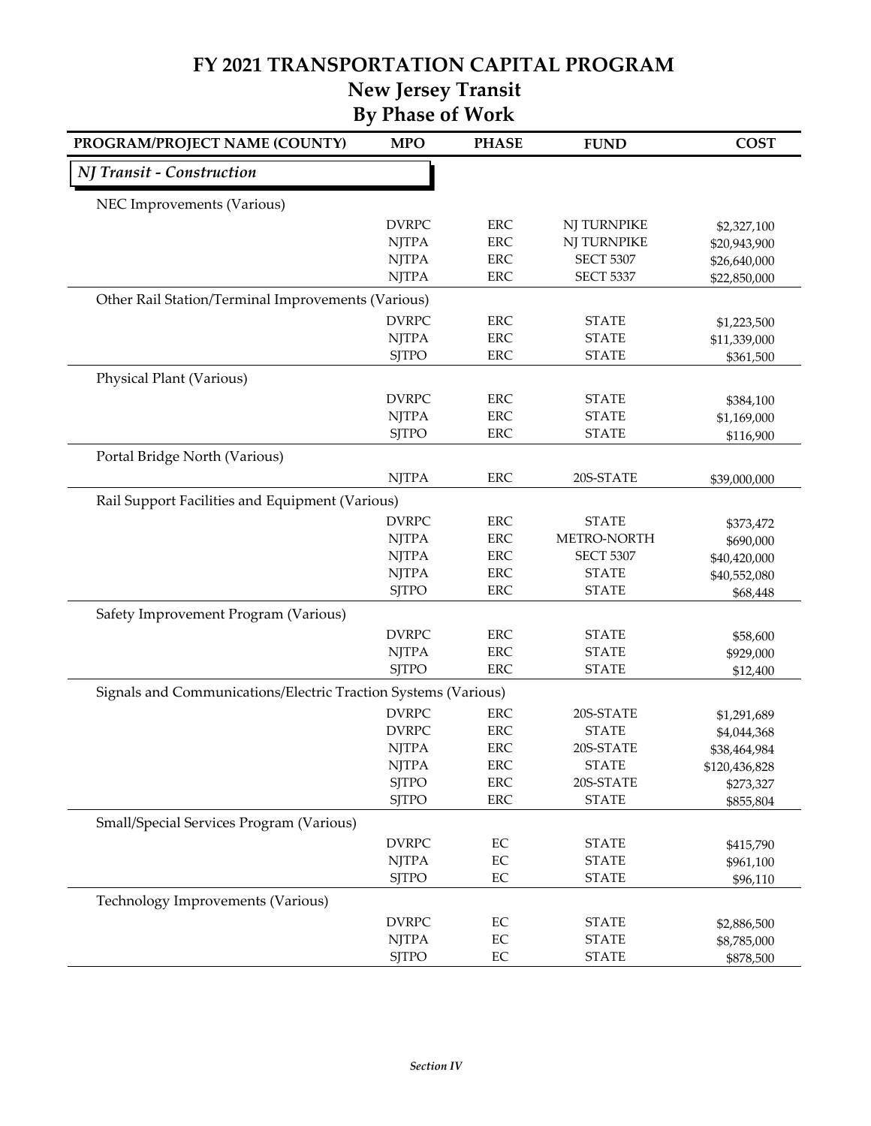#### **FY 2021 TRANSPORTATION CAPITAL PROGRAM New Jersey Transit**

| PROGRAM/PROJECT NAME (COUNTY)                                  | <b>MPO</b>   | <b>PHASE</b> | <b>FUND</b>      | <b>COST</b>   |
|----------------------------------------------------------------|--------------|--------------|------------------|---------------|
| NJ Transit - Construction                                      |              |              |                  |               |
| NEC Improvements (Various)                                     |              |              |                  |               |
|                                                                | <b>DVRPC</b> | <b>ERC</b>   | NJ TURNPIKE      | \$2,327,100   |
|                                                                | <b>NJTPA</b> | <b>ERC</b>   | NJ TURNPIKE      | \$20,943,900  |
|                                                                | <b>NJTPA</b> | <b>ERC</b>   | <b>SECT 5307</b> | \$26,640,000  |
|                                                                | <b>NJTPA</b> | <b>ERC</b>   | <b>SECT 5337</b> | \$22,850,000  |
| Other Rail Station/Terminal Improvements (Various)             |              |              |                  |               |
|                                                                | <b>DVRPC</b> | <b>ERC</b>   | <b>STATE</b>     | \$1,223,500   |
|                                                                | <b>NJTPA</b> | <b>ERC</b>   | <b>STATE</b>     | \$11,339,000  |
|                                                                | <b>SJTPO</b> | <b>ERC</b>   | <b>STATE</b>     | \$361,500     |
| Physical Plant (Various)                                       |              |              |                  |               |
|                                                                | <b>DVRPC</b> | <b>ERC</b>   | <b>STATE</b>     | \$384,100     |
|                                                                | <b>NJTPA</b> | <b>ERC</b>   | <b>STATE</b>     | \$1,169,000   |
|                                                                | <b>SJTPO</b> | <b>ERC</b>   | <b>STATE</b>     | \$116,900     |
| Portal Bridge North (Various)                                  |              |              |                  |               |
|                                                                | <b>NJTPA</b> | <b>ERC</b>   | 20S-STATE        | \$39,000,000  |
| Rail Support Facilities and Equipment (Various)                |              |              |                  |               |
|                                                                | <b>DVRPC</b> | <b>ERC</b>   | <b>STATE</b>     | \$373,472     |
|                                                                | <b>NJTPA</b> | <b>ERC</b>   | METRO-NORTH      | \$690,000     |
|                                                                | <b>NJTPA</b> | <b>ERC</b>   | <b>SECT 5307</b> | \$40,420,000  |
|                                                                | <b>NJTPA</b> | <b>ERC</b>   | <b>STATE</b>     | \$40,552,080  |
|                                                                | <b>SJTPO</b> | <b>ERC</b>   | <b>STATE</b>     | \$68,448      |
| Safety Improvement Program (Various)                           |              |              |                  |               |
|                                                                | <b>DVRPC</b> | <b>ERC</b>   | <b>STATE</b>     | \$58,600      |
|                                                                | <b>NJTPA</b> | <b>ERC</b>   | <b>STATE</b>     | \$929,000     |
|                                                                | <b>SJTPO</b> | <b>ERC</b>   | <b>STATE</b>     | \$12,400      |
| Signals and Communications/Electric Traction Systems (Various) |              |              |                  |               |
|                                                                | <b>DVRPC</b> | <b>ERC</b>   | 20S-STATE        | \$1,291,689   |
|                                                                | <b>DVRPC</b> | <b>ERC</b>   | <b>STATE</b>     | \$4,044,368   |
|                                                                | <b>NJTPA</b> | <b>ERC</b>   | 20S-STATE        | \$38,464,984  |
|                                                                | <b>NJTPA</b> | <b>ERC</b>   | <b>STATE</b>     | \$120,436,828 |
|                                                                | <b>SJTPO</b> | <b>ERC</b>   | 20S-STATE        | \$273,327     |
|                                                                | <b>SJTPO</b> | ERC          | <b>STATE</b>     | \$855,804     |
| Small/Special Services Program (Various)                       |              |              |                  |               |
|                                                                | <b>DVRPC</b> | EC           | <b>STATE</b>     | \$415,790     |
|                                                                | <b>NJTPA</b> | $\rm EC$     | <b>STATE</b>     | \$961,100     |
|                                                                | <b>SJTPO</b> | EC           | <b>STATE</b>     | \$96,110      |
| Technology Improvements (Various)                              |              |              |                  |               |
|                                                                | <b>DVRPC</b> | EC           | <b>STATE</b>     | \$2,886,500   |
|                                                                | <b>NJTPA</b> | EC           | <b>STATE</b>     | \$8,785,000   |
|                                                                | <b>SJTPO</b> | $\rm EC$     | <b>STATE</b>     | \$878,500     |